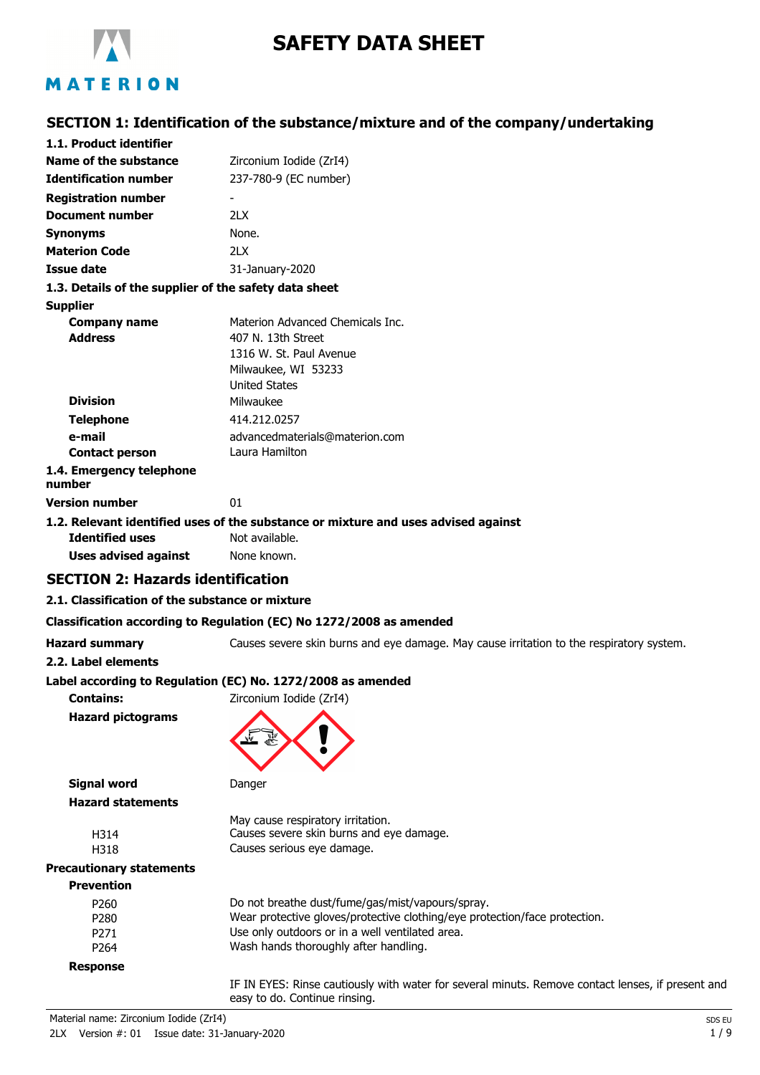

# **SAFETY DATA SHEET**

## **SECTION 1: Identification of the substance/mixture and of the company/undertaking**

| 1.1. Product identifier                               |                                                                                    |
|-------------------------------------------------------|------------------------------------------------------------------------------------|
| <b>Name of the substance</b>                          | Zirconium Iodide (ZrI4)                                                            |
| <b>Identification number</b>                          | 237-780-9 (EC number)                                                              |
| <b>Registration number</b>                            |                                                                                    |
| <b>Document number</b>                                | 21X                                                                                |
| <b>Synonyms</b>                                       | None.                                                                              |
| <b>Materion Code</b>                                  | 2LX                                                                                |
| <b>Issue date</b>                                     | 31-January-2020                                                                    |
| 1.3. Details of the supplier of the safety data sheet |                                                                                    |
| <b>Supplier</b>                                       |                                                                                    |
| <b>Company name</b>                                   | Materion Advanced Chemicals Inc.                                                   |
| <b>Address</b>                                        | 407 N. 13th Street                                                                 |
|                                                       | 1316 W. St. Paul Avenue                                                            |
|                                                       | Milwaukee, WI 53233                                                                |
|                                                       | <b>United States</b>                                                               |
| <b>Division</b>                                       | Milwaukee                                                                          |
| <b>Telephone</b>                                      | 414.212.0257                                                                       |
| e-mail                                                | advancedmaterials@materion.com                                                     |
| <b>Contact person</b>                                 | Laura Hamilton                                                                     |
| 1.4. Emergency telephone<br>number                    |                                                                                    |
| <b>Version number</b>                                 | 01                                                                                 |
|                                                       | 1.2. Relevant identified uses of the substance or mixture and uses advised against |
| <b>Identified uses</b>                                | Not available.                                                                     |
| Uses advised against                                  | None known.                                                                        |

#### **SECTION 2: Hazards identification**

#### **2.1. Classification of the substance or mixture**

#### **Classification according to Regulation (EC) No 1272/2008 as amended**

### **2.2. Label elements**

**Hazard summary** Causes severe skin burns and eye damage. May cause irritation to the respiratory system.

**Label according to Regulation (EC) No. 1272/2008 as amended**

**Contains:** Zirconium Iodide (ZrI4) **Hazard pictograms**



**Signal word** Danger **Hazard statements** May cause respiratory irritation. H314 Causes severe skin burns and eye damage. H318 Causes serious eye damage. **Precautionary statements Prevention**

| Prevention       |                                                                            |
|------------------|----------------------------------------------------------------------------|
| P <sub>260</sub> | Do not breathe dust/fume/gas/mist/vapours/spray.                           |
| P <sub>280</sub> | Wear protective gloves/protective clothing/eye protection/face protection. |
| P <sub>271</sub> | Use only outdoors or in a well ventilated area.                            |
| P264             | Wash hands thoroughly after handling.                                      |
| Response         |                                                                            |

IF IN EYES: Rinse cautiously with water for several minuts. Remove contact lenses, if present and easy to do. Continue rinsing.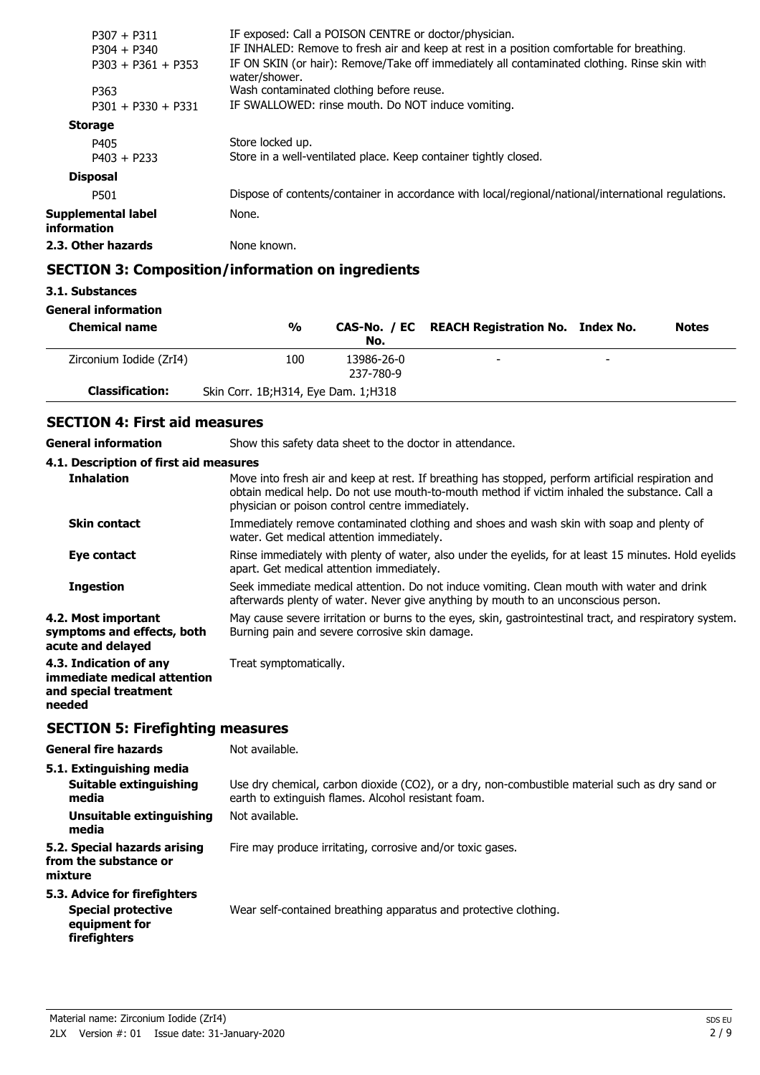| $P307 + P311$                     | IF exposed: Call a POISON CENTRE or doctor/physician.                                                         |
|-----------------------------------|---------------------------------------------------------------------------------------------------------------|
| $P304 + P340$                     | IF INHALED: Remove to fresh air and keep at rest in a position comfortable for breathing                      |
| $P303 + P361 + P353$              | IF ON SKIN (or hair): Remove/Take off immediately all contaminated clothing. Rinse skin with<br>water/shower. |
| P363                              | Wash contaminated clothing before reuse.                                                                      |
| $P301 + P330 + P331$              | IF SWALLOWED: rinse mouth. Do NOT induce vomiting.                                                            |
| <b>Storage</b>                    |                                                                                                               |
| P405                              | Store locked up.                                                                                              |
| $P403 + P233$                     | Store in a well-ventilated place. Keep container tightly closed.                                              |
| <b>Disposal</b>                   |                                                                                                               |
| P501                              | Dispose of contents/container in accordance with local/regional/national/international regulations.           |
| Supplemental label<br>information | None.                                                                                                         |
| 2.3. Other hazards                | None known.                                                                                                   |
|                                   |                                                                                                               |

## **SECTION 3: Composition/information on ingredients**

### **3.1. Substances**

### **General information**

| <b>Chemical name</b>    | $\frac{0}{0}$                         | No.                     | CAS-No. / EC REACH Registration No. Index No. |                          | <b>Notes</b> |
|-------------------------|---------------------------------------|-------------------------|-----------------------------------------------|--------------------------|--------------|
| Zirconium Iodide (ZrI4) | 100                                   | 13986-26-0<br>237-780-9 | -                                             | $\overline{\phantom{0}}$ |              |
| <b>Classification:</b>  | Skin Corr. 1B; H314, Eye Dam. 1; H318 |                         |                                               |                          |              |

## **SECTION 4: First aid measures**

**General information** Show this safety data sheet to the doctor in attendance.

#### **4.1. Description of first aid measures**

| <b>Inhalation</b>                                                                        | Move into fresh air and keep at rest. If breathing has stopped, perform artificial respiration and<br>obtain medical help. Do not use mouth-to-mouth method if victim inhaled the substance. Call a<br>physician or poison control centre immediately. |
|------------------------------------------------------------------------------------------|--------------------------------------------------------------------------------------------------------------------------------------------------------------------------------------------------------------------------------------------------------|
| <b>Skin contact</b>                                                                      | Immediately remove contaminated clothing and shoes and wash skin with soap and plenty of<br>water. Get medical attention immediately.                                                                                                                  |
| Eye contact                                                                              | Rinse immediately with plenty of water, also under the eyelids, for at least 15 minutes. Hold eyelids<br>apart. Get medical attention immediately.                                                                                                     |
| <b>Ingestion</b>                                                                         | Seek immediate medical attention. Do not induce vomiting. Clean mouth with water and drink<br>afterwards plenty of water. Never give anything by mouth to an unconscious person.                                                                       |
| 4.2. Most important<br>symptoms and effects, both<br>acute and delayed                   | May cause severe irritation or burns to the eyes, skin, gastrointestinal tract, and respiratory system.<br>Burning pain and severe corrosive skin damage.                                                                                              |
| 4.3. Indication of any<br>immediate medical attention<br>and special treatment<br>needed | Treat symptomatically.                                                                                                                                                                                                                                 |

## **SECTION 5: Firefighting measures**

| <b>General fire hazards</b>                                                                       | Not available.                                                                                                                                        |
|---------------------------------------------------------------------------------------------------|-------------------------------------------------------------------------------------------------------------------------------------------------------|
| 5.1. Extinguishing media<br>Suitable extinguishing<br>media                                       | Use dry chemical, carbon dioxide (CO2), or a dry, non-combustible material such as dry sand or<br>earth to extinguish flames. Alcohol resistant foam. |
| Unsuitable extinguishing<br>media                                                                 | Not available.                                                                                                                                        |
| 5.2. Special hazards arising<br>from the substance or<br>mixture                                  | Fire may produce irritating, corrosive and/or toxic gases.                                                                                            |
| 5.3. Advice for firefighters<br><b>Special protective</b><br>equipment for<br><b>firefighters</b> | Wear self-contained breathing apparatus and protective clothing.                                                                                      |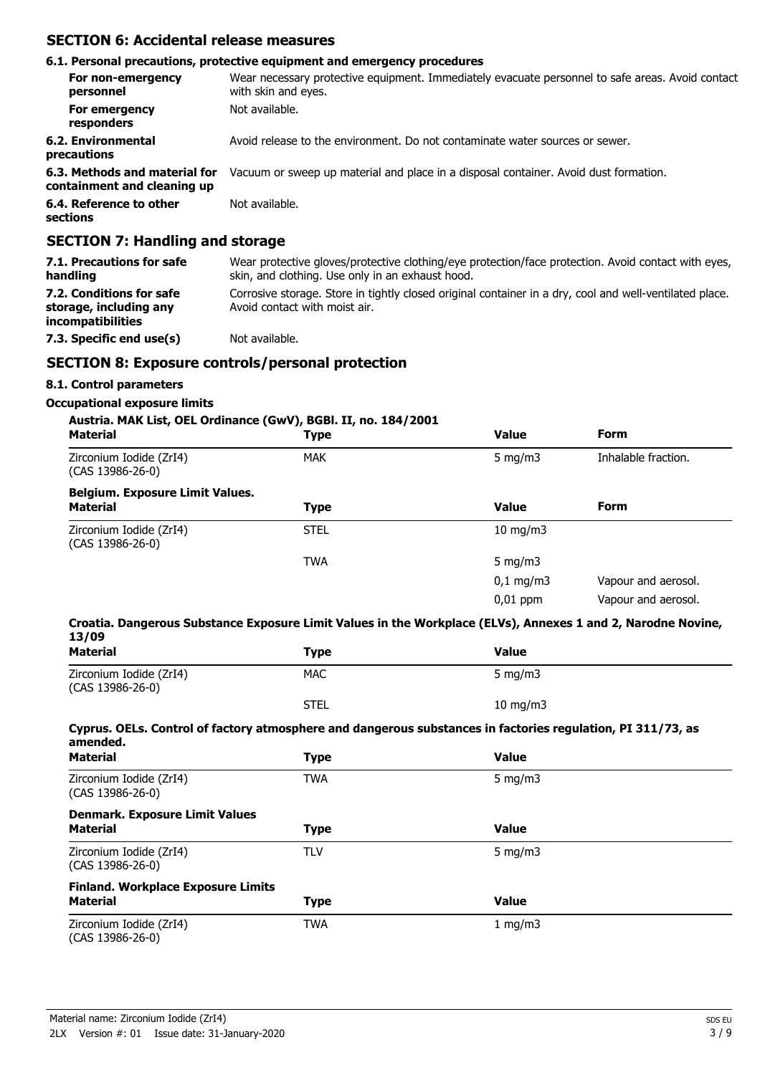#### **SECTION 6: Accidental release measures**

#### **6.1. Personal precautions, protective equipment and emergency procedures** Wear necessary protective equipment. Immediately evacuate personnel to safe areas. Avoid contact with skin and eyes. **For non-emergency personnel For emergency** Not available. **responders 6.2. Environmental** Avoid release to the environment. Do not contaminate water sources or sewer. **precautions 6.3. Methods and material for** Vacuum or sweep up material and place in a disposal container. Avoid dust formation. **containment and cleaning up 6.4. Reference to other** Not available. **sections**

### **SECTION 7: Handling and storage**

| 7.1. Precautions for safe<br>handling                                   | Wear protective gloves/protective clothing/eye protection/face protection. Avoid contact with eyes,<br>skin, and clothing. Use only in an exhaust hood. |
|-------------------------------------------------------------------------|---------------------------------------------------------------------------------------------------------------------------------------------------------|
| 7.2. Conditions for safe<br>storage, including any<br>incompatibilities | Corrosive storage. Store in tightly closed original container in a dry, cool and well-ventilated place.<br>Avoid contact with moist air.                |
| 7.3. Specific end use(s)                                                | Not available.                                                                                                                                          |

## **SECTION 8: Exposure controls/personal protection**

### **8.1. Control parameters**

#### **Occupational exposure limits**

### **Austria. MAK List, OEL Ordinance (GwV), BGBl. II, no. 184/2001**

| <b>Material</b>                               | . .<br><b>Type</b> | <b>Value</b>         | <b>Form</b>         |
|-----------------------------------------------|--------------------|----------------------|---------------------|
| Zirconium Iodide (ZrI4)<br>$(CAS 13986-26-0)$ | <b>MAK</b>         | 5 mg/m $3$           | Inhalable fraction. |
| <b>Belgium. Exposure Limit Values.</b>        |                    |                      |                     |
| <b>Material</b>                               | Type               | <b>Value</b>         | <b>Form</b>         |
| Zirconium Iodide (ZrI4)<br>$(CAS 13986-26-0)$ | <b>STEL</b>        | $10$ mg/m $3$        |                     |
|                                               | TWA                | 5 mg/m $3$           |                     |
|                                               |                    | $0,1 \, \text{mg/m}$ | Vapour and aerosol. |
|                                               |                    | $0,01$ ppm           | Vapour and aerosol. |

#### **Croatia. Dangerous Substance Exposure Limit Values in the Workplace (ELVs), Annexes 1 and 2, Narodne Novine, 13/09**

| ㅗㄱ/ ∪ㄱ<br><b>Material</b>                                    | <b>Type</b> | <b>Value</b>                                                                                                |
|--------------------------------------------------------------|-------------|-------------------------------------------------------------------------------------------------------------|
| Zirconium Iodide (ZrI4)<br>(CAS 13986-26-0)                  | <b>MAC</b>  | 5 mg/m $3$                                                                                                  |
|                                                              | <b>STEL</b> | $10 \text{ mg/m}$                                                                                           |
| amended.                                                     |             | Cyprus. OELs. Control of factory atmosphere and dangerous substances in factories regulation, PI 311/73, as |
| <b>Material</b>                                              | <b>Type</b> | <b>Value</b>                                                                                                |
| Zirconium Iodide (ZrI4)<br>$(CAS 13986-26-0)$                | <b>TWA</b>  | 5 mg/m $3$                                                                                                  |
| <b>Denmark. Exposure Limit Values</b><br><b>Material</b>     | <b>Type</b> | <b>Value</b>                                                                                                |
| Zirconium Iodide (ZrI4)<br>$(CAS 13986-26-0)$                | <b>TLV</b>  | 5 mg/m $3$                                                                                                  |
| <b>Finland. Workplace Exposure Limits</b><br><b>Material</b> | <b>Type</b> | <b>Value</b>                                                                                                |
| Zirconium Iodide (ZrI4)<br>(CAS 13986-26-0)                  | <b>TWA</b>  | 1 mg/m $3$                                                                                                  |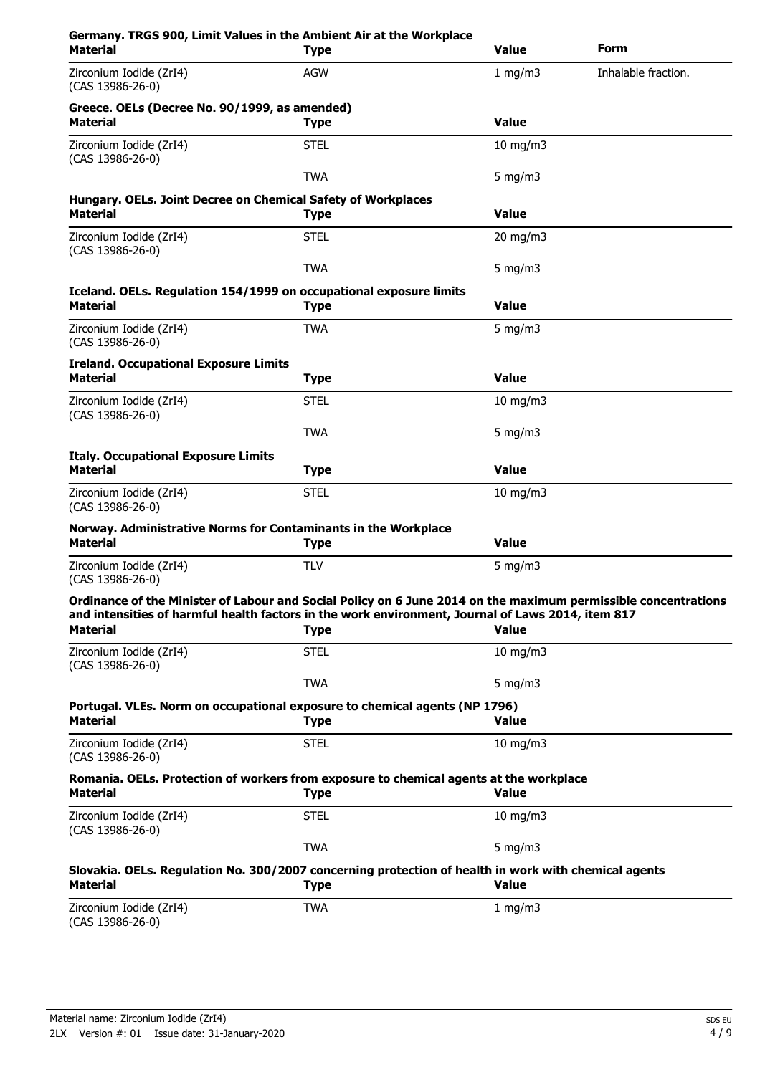| Germany. TRGS 900, Limit Values in the Ambient Air at the Workplace<br><b>Material</b>                                                                                                                                                 | <b>Type</b> | <b>Value</b>      | Form                |
|----------------------------------------------------------------------------------------------------------------------------------------------------------------------------------------------------------------------------------------|-------------|-------------------|---------------------|
| Zirconium Iodide (ZrI4)<br>(CAS 13986-26-0)                                                                                                                                                                                            | <b>AGW</b>  | $1$ mg/m $3$      | Inhalable fraction. |
| Greece. OELs (Decree No. 90/1999, as amended)<br><b>Material</b>                                                                                                                                                                       | <b>Type</b> | <b>Value</b>      |                     |
| Zirconium Iodide (ZrI4)<br>(CAS 13986-26-0)                                                                                                                                                                                            | <b>STEL</b> | $10$ mg/m $3$     |                     |
|                                                                                                                                                                                                                                        | <b>TWA</b>  | $5$ mg/m $3$      |                     |
| Hungary. OELs. Joint Decree on Chemical Safety of Workplaces<br><b>Material</b>                                                                                                                                                        | <b>Type</b> | <b>Value</b>      |                     |
| Zirconium Iodide (ZrI4)<br>(CAS 13986-26-0)                                                                                                                                                                                            | <b>STEL</b> | $20$ mg/m $3$     |                     |
|                                                                                                                                                                                                                                        | <b>TWA</b>  | 5 mg/m $3$        |                     |
| Iceland. OELs. Regulation 154/1999 on occupational exposure limits<br><b>Material</b>                                                                                                                                                  | <b>Type</b> | <b>Value</b>      |                     |
| Zirconium Iodide (ZrI4)<br>(CAS 13986-26-0)                                                                                                                                                                                            | <b>TWA</b>  | $5$ mg/m $3$      |                     |
| <b>Ireland. Occupational Exposure Limits</b><br><b>Material</b>                                                                                                                                                                        | <b>Type</b> | <b>Value</b>      |                     |
| Zirconium Iodide (ZrI4)<br>(CAS 13986-26-0)                                                                                                                                                                                            | <b>STEL</b> | $10$ mg/m $3$     |                     |
|                                                                                                                                                                                                                                        | <b>TWA</b>  | 5 mg/m $3$        |                     |
| <b>Italy. Occupational Exposure Limits</b><br><b>Material</b>                                                                                                                                                                          | <b>Type</b> | <b>Value</b>      |                     |
| Zirconium Iodide (ZrI4)<br>(CAS 13986-26-0)                                                                                                                                                                                            | <b>STEL</b> | $10$ mg/m $3$     |                     |
| Norway. Administrative Norms for Contaminants in the Workplace<br><b>Material</b>                                                                                                                                                      | <b>Type</b> | <b>Value</b>      |                     |
| Zirconium Iodide (ZrI4)<br>(CAS 13986-26-0)                                                                                                                                                                                            | <b>TLV</b>  | 5 mg/m $3$        |                     |
| Ordinance of the Minister of Labour and Social Policy on 6 June 2014 on the maximum permissible concentrations<br>and intensities of harmful health factors in the work environment, Journal of Laws 2014, item 817<br><b>Material</b> | <b>Type</b> | <b>Value</b>      |                     |
| Zirconium Iodide (ZrI4)<br>(CAS 13986-26-0)                                                                                                                                                                                            | <b>STEL</b> | $10 \text{ mg/m}$ |                     |
|                                                                                                                                                                                                                                        | <b>TWA</b>  | $5$ mg/m $3$      |                     |
| Portugal. VLEs. Norm on occupational exposure to chemical agents (NP 1796)<br><b>Material</b>                                                                                                                                          | <b>Type</b> | <b>Value</b>      |                     |
| Zirconium Iodide (ZrI4)<br>$(CAS 13986-26-0)$                                                                                                                                                                                          | <b>STEL</b> | 10 mg/m $3$       |                     |
| Romania. OELs. Protection of workers from exposure to chemical agents at the workplace<br><b>Material</b>                                                                                                                              | <b>Type</b> | <b>Value</b>      |                     |
| Zirconium Iodide (ZrI4)<br>$(CAS 13986-26-0)$                                                                                                                                                                                          | <b>STEL</b> | 10 mg/m $3$       |                     |
|                                                                                                                                                                                                                                        | <b>TWA</b>  | 5 mg/m $3$        |                     |
| Slovakia. OELs. Regulation No. 300/2007 concerning protection of health in work with chemical agents<br><b>Material</b>                                                                                                                | <b>Type</b> | <b>Value</b>      |                     |
| Zirconium Iodide (ZrI4)<br>(CAS 13986-26-0)                                                                                                                                                                                            | <b>TWA</b>  | 1 mg/m $3$        |                     |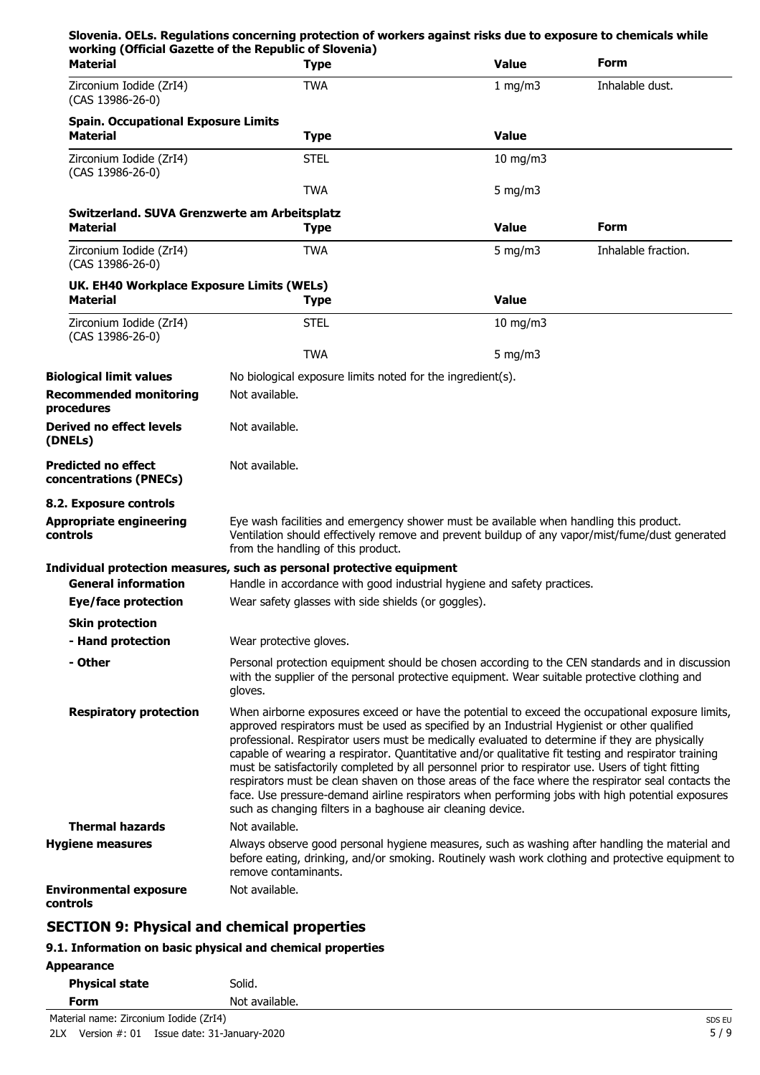| working (Official Gazette of the Republic of Slovenia)<br><b>Material</b> |                         | <b>Type</b>                                                | <b>Value</b>                                                                           | Form                                                                                                                                                                                                                                                                                                                                                                                                                                                                                                                                                                                                                                                                                                                      |
|---------------------------------------------------------------------------|-------------------------|------------------------------------------------------------|----------------------------------------------------------------------------------------|---------------------------------------------------------------------------------------------------------------------------------------------------------------------------------------------------------------------------------------------------------------------------------------------------------------------------------------------------------------------------------------------------------------------------------------------------------------------------------------------------------------------------------------------------------------------------------------------------------------------------------------------------------------------------------------------------------------------------|
| Zirconium Iodide (ZrI4)<br>(CAS 13986-26-0)                               |                         | <b>TWA</b>                                                 | 1 mg/m3                                                                                | Inhalable dust.                                                                                                                                                                                                                                                                                                                                                                                                                                                                                                                                                                                                                                                                                                           |
| <b>Spain. Occupational Exposure Limits</b><br><b>Material</b>             |                         | <b>Type</b>                                                | <b>Value</b>                                                                           |                                                                                                                                                                                                                                                                                                                                                                                                                                                                                                                                                                                                                                                                                                                           |
| Zirconium Iodide (ZrI4)<br>(CAS 13986-26-0)                               |                         | <b>STEL</b>                                                | $10$ mg/m $3$                                                                          |                                                                                                                                                                                                                                                                                                                                                                                                                                                                                                                                                                                                                                                                                                                           |
|                                                                           |                         | <b>TWA</b>                                                 | 5 mg/m $3$                                                                             |                                                                                                                                                                                                                                                                                                                                                                                                                                                                                                                                                                                                                                                                                                                           |
| Switzerland. SUVA Grenzwerte am Arbeitsplatz<br><b>Material</b>           |                         | <b>Type</b>                                                | <b>Value</b>                                                                           | Form                                                                                                                                                                                                                                                                                                                                                                                                                                                                                                                                                                                                                                                                                                                      |
| Zirconium Iodide (ZrI4)<br>(CAS 13986-26-0)                               |                         | <b>TWA</b>                                                 | 5 mg/m $3$                                                                             | Inhalable fraction.                                                                                                                                                                                                                                                                                                                                                                                                                                                                                                                                                                                                                                                                                                       |
| UK. EH40 Workplace Exposure Limits (WELs)<br><b>Material</b>              |                         | <b>Type</b>                                                | <b>Value</b>                                                                           |                                                                                                                                                                                                                                                                                                                                                                                                                                                                                                                                                                                                                                                                                                                           |
| Zirconium Iodide (ZrI4)<br>(CAS 13986-26-0)                               |                         | <b>STEL</b>                                                | $10 \text{ mg/m}$                                                                      |                                                                                                                                                                                                                                                                                                                                                                                                                                                                                                                                                                                                                                                                                                                           |
|                                                                           |                         | <b>TWA</b>                                                 | 5 mg/m $3$                                                                             |                                                                                                                                                                                                                                                                                                                                                                                                                                                                                                                                                                                                                                                                                                                           |
| <b>Biological limit values</b>                                            |                         | No biological exposure limits noted for the ingredient(s). |                                                                                        |                                                                                                                                                                                                                                                                                                                                                                                                                                                                                                                                                                                                                                                                                                                           |
| <b>Recommended monitoring</b><br>procedures                               | Not available.          |                                                            |                                                                                        |                                                                                                                                                                                                                                                                                                                                                                                                                                                                                                                                                                                                                                                                                                                           |
| Derived no effect levels<br>(DNELs)                                       | Not available.          |                                                            |                                                                                        |                                                                                                                                                                                                                                                                                                                                                                                                                                                                                                                                                                                                                                                                                                                           |
| <b>Predicted no effect</b><br>concentrations (PNECs)                      | Not available.          |                                                            |                                                                                        |                                                                                                                                                                                                                                                                                                                                                                                                                                                                                                                                                                                                                                                                                                                           |
| 8.2. Exposure controls                                                    |                         |                                                            |                                                                                        |                                                                                                                                                                                                                                                                                                                                                                                                                                                                                                                                                                                                                                                                                                                           |
| <b>Appropriate engineering</b><br>controls                                |                         | from the handling of this product.                         | Eye wash facilities and emergency shower must be available when handling this product. | Ventilation should effectively remove and prevent buildup of any vapor/mist/fume/dust generated                                                                                                                                                                                                                                                                                                                                                                                                                                                                                                                                                                                                                           |
| Individual protection measures, such as personal protective equipment     |                         |                                                            |                                                                                        |                                                                                                                                                                                                                                                                                                                                                                                                                                                                                                                                                                                                                                                                                                                           |
| <b>General information</b>                                                |                         |                                                            | Handle in accordance with good industrial hygiene and safety practices.                |                                                                                                                                                                                                                                                                                                                                                                                                                                                                                                                                                                                                                                                                                                                           |
| <b>Eye/face protection</b>                                                |                         | Wear safety glasses with side shields (or goggles).        |                                                                                        |                                                                                                                                                                                                                                                                                                                                                                                                                                                                                                                                                                                                                                                                                                                           |
| <b>Skin protection</b>                                                    |                         |                                                            |                                                                                        |                                                                                                                                                                                                                                                                                                                                                                                                                                                                                                                                                                                                                                                                                                                           |
| - Hand protection                                                         | Wear protective gloves. |                                                            |                                                                                        |                                                                                                                                                                                                                                                                                                                                                                                                                                                                                                                                                                                                                                                                                                                           |
| - Other                                                                   | gloves.                 |                                                            |                                                                                        | Personal protection equipment should be chosen according to the CEN standards and in discussion<br>with the supplier of the personal protective equipment. Wear suitable protective clothing and                                                                                                                                                                                                                                                                                                                                                                                                                                                                                                                          |
| <b>Respiratory protection</b>                                             |                         |                                                            | such as changing filters in a baghouse air cleaning device.                            | When airborne exposures exceed or have the potential to exceed the occupational exposure limits,<br>approved respirators must be used as specified by an Industrial Hygienist or other qualified<br>professional. Respirator users must be medically evaluated to determine if they are physically<br>capable of wearing a respirator. Quantitative and/or qualitative fit testing and respirator training<br>must be satisfactorily completed by all personnel prior to respirator use. Users of tight fitting<br>respirators must be clean shaven on those areas of the face where the respirator seal contacts the<br>face. Use pressure-demand airline respirators when performing jobs with high potential exposures |
| <b>Thermal hazards</b>                                                    | Not available.          |                                                            |                                                                                        |                                                                                                                                                                                                                                                                                                                                                                                                                                                                                                                                                                                                                                                                                                                           |
| <b>Hygiene measures</b>                                                   | remove contaminants.    |                                                            |                                                                                        | Always observe good personal hygiene measures, such as washing after handling the material and<br>before eating, drinking, and/or smoking. Routinely wash work clothing and protective equipment to                                                                                                                                                                                                                                                                                                                                                                                                                                                                                                                       |
| <b>Environmental exposure</b><br>controls                                 | Not available.          |                                                            |                                                                                        |                                                                                                                                                                                                                                                                                                                                                                                                                                                                                                                                                                                                                                                                                                                           |

## **SECTION 9: Physical and chemical properties**

## **9.1. Information on basic physical and chemical properties**

| <b>Appearance</b> |  |
|-------------------|--|
|-------------------|--|

| <b>Physical state</b> | Solid.         |
|-----------------------|----------------|
| Form                  | Not available. |
|                       |                |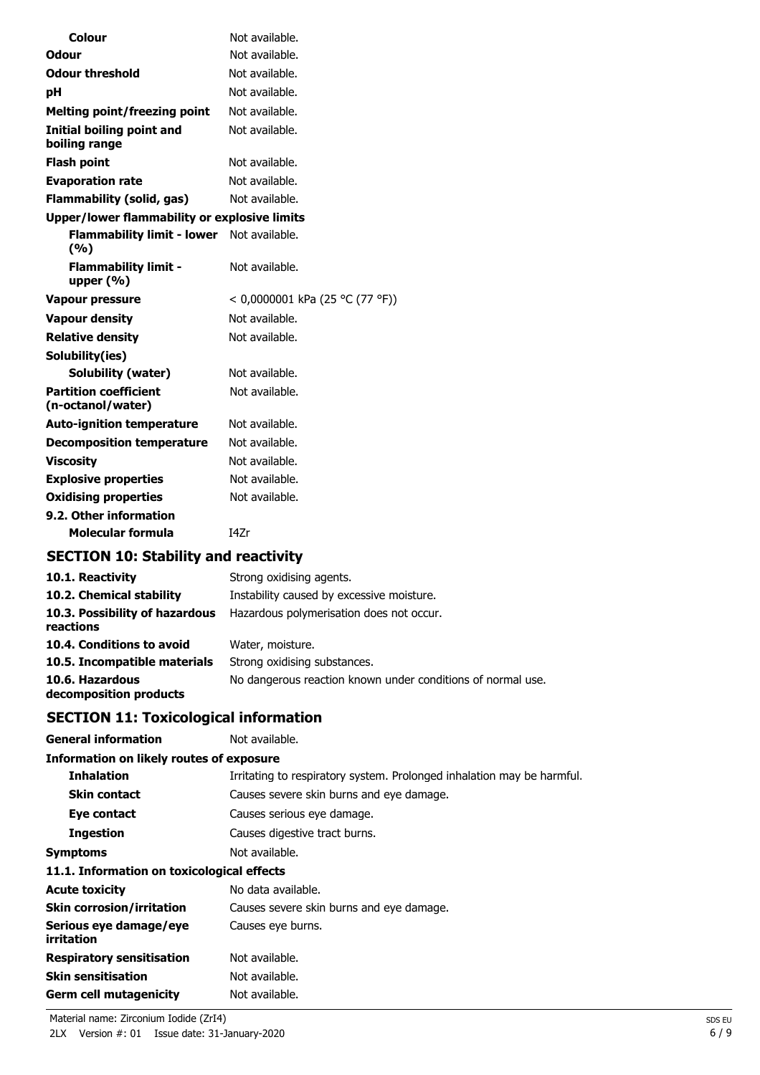| Colour                                            | Not available.                  |
|---------------------------------------------------|---------------------------------|
| Odour                                             | Not available.                  |
| <b>Odour threshold</b>                            | Not available.                  |
| рH                                                | Not available.                  |
| <b>Melting point/freezing point</b>               | Not available.                  |
| Initial boiling point and<br>boiling range        | Not available.                  |
| <b>Flash point</b>                                | Not available.                  |
| <b>Evaporation rate</b>                           | Not available.                  |
| <b>Flammability (solid, gas)</b>                  | Not available.                  |
| Upper/lower flammability or explosive limits      |                                 |
| <b>Flammability limit - lower</b><br>(%)          | Not available.                  |
| <b>Flammability limit -</b><br>upper $(% )$       | Not available.                  |
| Vapour pressure                                   | < 0,0000001 kPa (25 °C (77 °F)) |
| <b>Vapour density</b>                             | Not available.                  |
| <b>Relative density</b>                           | Not available.                  |
| Solubility(ies)                                   |                                 |
| Solubility (water)                                | Not available.                  |
| <b>Partition coefficient</b><br>(n-octanol/water) | Not available.                  |
| <b>Auto-ignition temperature</b>                  | Not available.                  |
| <b>Decomposition temperature</b>                  | Not available.                  |
| <b>Viscosity</b>                                  | Not available.                  |
| <b>Explosive properties</b>                       | Not available.                  |
| <b>Oxidising properties</b>                       | Not available.                  |
| 9.2. Other information                            |                                 |
| Molecular formula                                 | I47r                            |

## **SECTION 10: Stability and reactivity**

| 10.1. Reactivity                            | Strong oxidising agents.                                    |
|---------------------------------------------|-------------------------------------------------------------|
| 10.2. Chemical stability                    | Instability caused by excessive moisture.                   |
| 10.3. Possibility of hazardous<br>reactions | Hazardous polymerisation does not occur.                    |
| 10.4. Conditions to avoid                   | Water, moisture.                                            |
| 10.5. Incompatible materials                | Strong oxidising substances.                                |
| 10.6. Hazardous<br>decomposition products   | No dangerous reaction known under conditions of normal use. |

## **SECTION 11: Toxicological information**

| Not available.                                                         |
|------------------------------------------------------------------------|
| <b>Information on likely routes of exposure</b>                        |
| Irritating to respiratory system. Prolonged inhalation may be harmful. |
| Causes severe skin burns and eye damage.                               |
| Causes serious eye damage.                                             |
| Causes digestive tract burns.                                          |
| Not available.                                                         |
| 11.1. Information on toxicological effects                             |
| No data available.                                                     |
| Causes severe skin burns and eye damage.                               |
| Causes eye burns.                                                      |
| Not available.                                                         |
| Not available.                                                         |
| Not available.                                                         |
|                                                                        |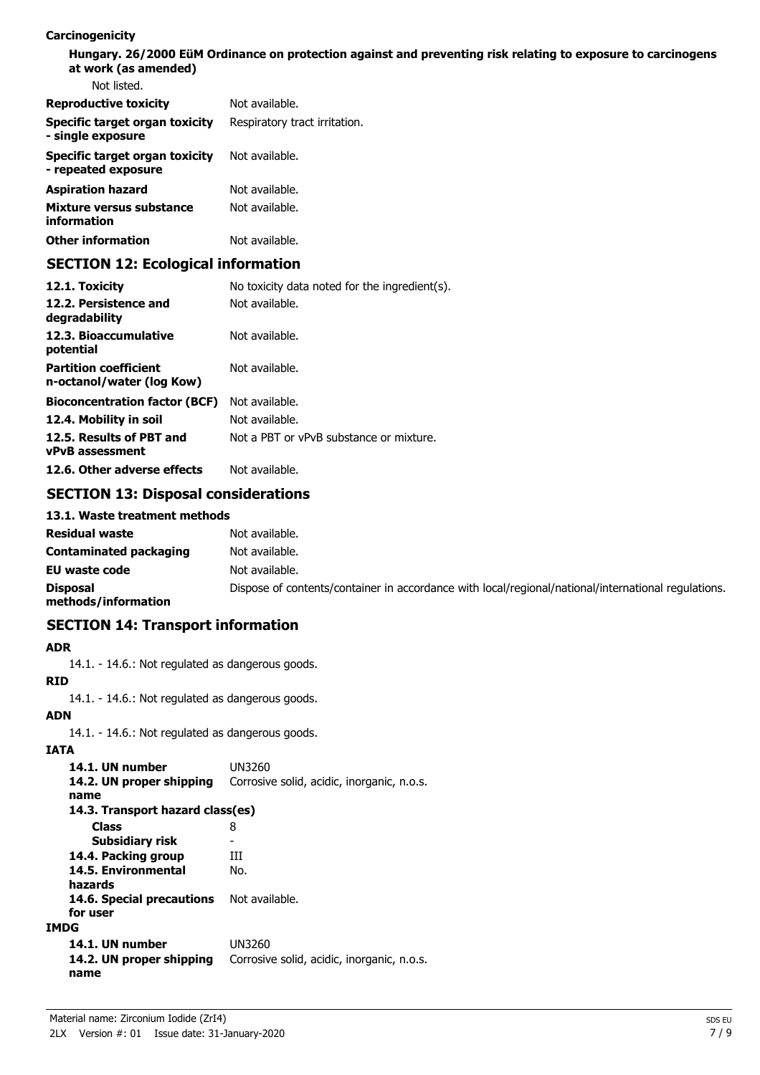#### **Carcinogenicity**

**Hungary. 26/2000 EüM Ordinance on protection against and preventing risk relating to exposure to carcinogens at work (as amended)** Not listed.

| <u>ivul iisleu.</u>                                   |                               |
|-------------------------------------------------------|-------------------------------|
| <b>Reproductive toxicity</b>                          | Not available.                |
| Specific target organ toxicity<br>- single exposure   | Respiratory tract irritation. |
| Specific target organ toxicity<br>- repeated exposure | Not available.                |
| <b>Aspiration hazard</b>                              | Not available.                |
| Mixture versus substance<br>information               | Not available.                |
| <b>Other information</b>                              | Not available.                |
|                                                       |                               |

## **SECTION 12: Ecological information**

| 12.1. Toxicity                                            | No toxicity data noted for the ingredient(s). |
|-----------------------------------------------------------|-----------------------------------------------|
| 12.2. Persistence and<br>degradability                    | Not available.                                |
| 12.3. Bioaccumulative<br>potential                        | Not available.                                |
| <b>Partition coefficient</b><br>n-octanol/water (log Kow) | Not available.                                |
| <b>Bioconcentration factor (BCF)</b>                      | Not available.                                |
| 12.4. Mobility in soil                                    | Not available.                                |
| 12.5. Results of PBT and<br><b>vPvB</b> assessment        | Not a PBT or vPvB substance or mixture.       |
| 12.6. Other adverse effects                               | Not available.                                |

## **SECTION 13: Disposal considerations**

#### **13.1. Waste treatment methods**

| <b>Residual waste</b>           | Not available.                                                                                      |
|---------------------------------|-----------------------------------------------------------------------------------------------------|
| Contaminated packaging          | Not available.                                                                                      |
| EU waste code                   | Not available.                                                                                      |
| Disposal<br>methods/information | Dispose of contents/container in accordance with local/regional/national/international regulations. |

## **SECTION 14: Transport information**

#### **ADR**

14.1. - 14.6.: Not regulated as dangerous goods.

**RID**

14.1. - 14.6.: Not regulated as dangerous goods.

## **ADN**

14.1. - 14.6.: Not regulated as dangerous goods.

### **IATA**

| 14.1. UN number<br>14.2. UN proper shipping<br>name | UN3260<br>Corrosive solid, acidic, inorganic, n.o.s. |
|-----------------------------------------------------|------------------------------------------------------|
| 14.3. Transport hazard class(es)                    |                                                      |
| <b>Class</b>                                        | 8                                                    |
| Subsidiary risk                                     |                                                      |
| 14.4. Packing group                                 | ш                                                    |
| 14.5. Environmental<br>hazards                      | No.                                                  |
| 14.6. Special precautions<br>for user               | Not available.                                       |
| IMDG                                                |                                                      |
| 14.1. UN number<br>14.2. UN proper shipping<br>name | UN3260<br>Corrosive solid, acidic, inorganic, n.o.s. |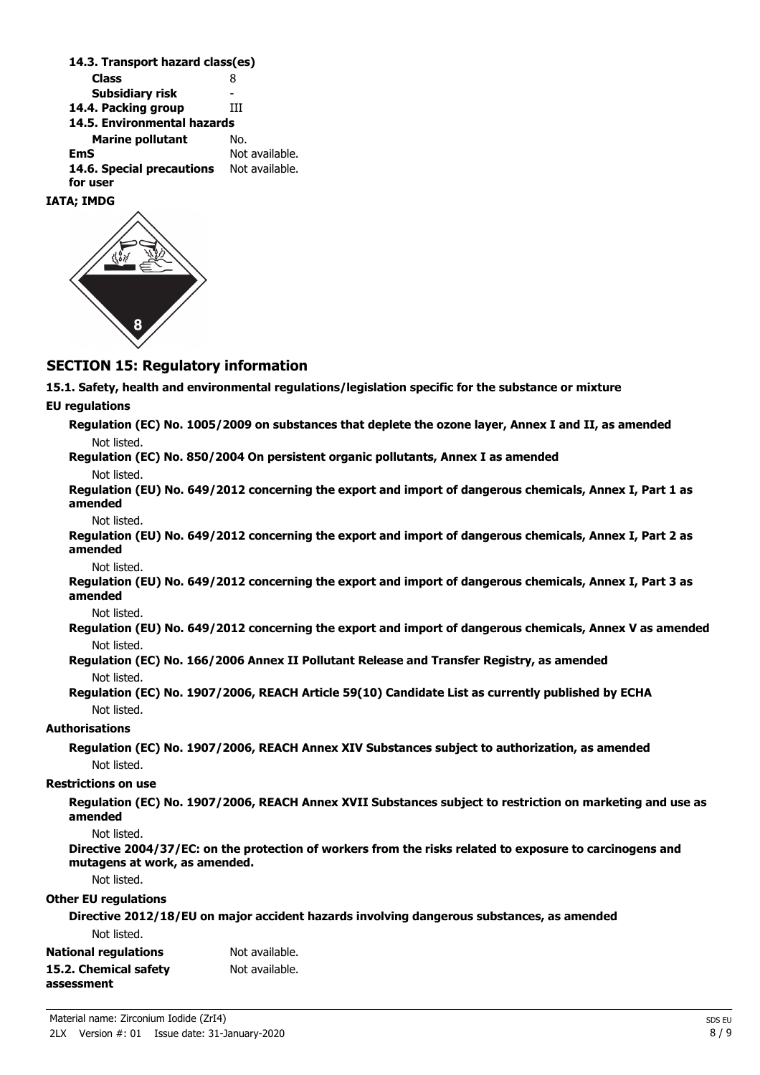| 14.3. Transport hazard class(es) |                |
|----------------------------------|----------------|
| <b>Class</b>                     | 8              |
| Subsidiary risk                  |                |
| 14.4. Packing group              | ш              |
| 14.5. Environmental hazards      |                |
| <b>Marine pollutant</b>          | No.            |
| EmS                              | Not available. |
| 14.6. Special precautions        | Not available. |
| for user                         |                |
| IATA: IMDG                       |                |

## **SECTION 15: Regulatory information**

**15.1. Safety, health and environmental regulations/legislation specific for the substance or mixture**

**EU regulations**

**Directive 2012/18/EU on major accident hazards involving dangerous substances, as amended** Not listed.

| National regulations  | Not available. |
|-----------------------|----------------|
| 15.2. Chemical safety | Not available. |
| assessment            |                |